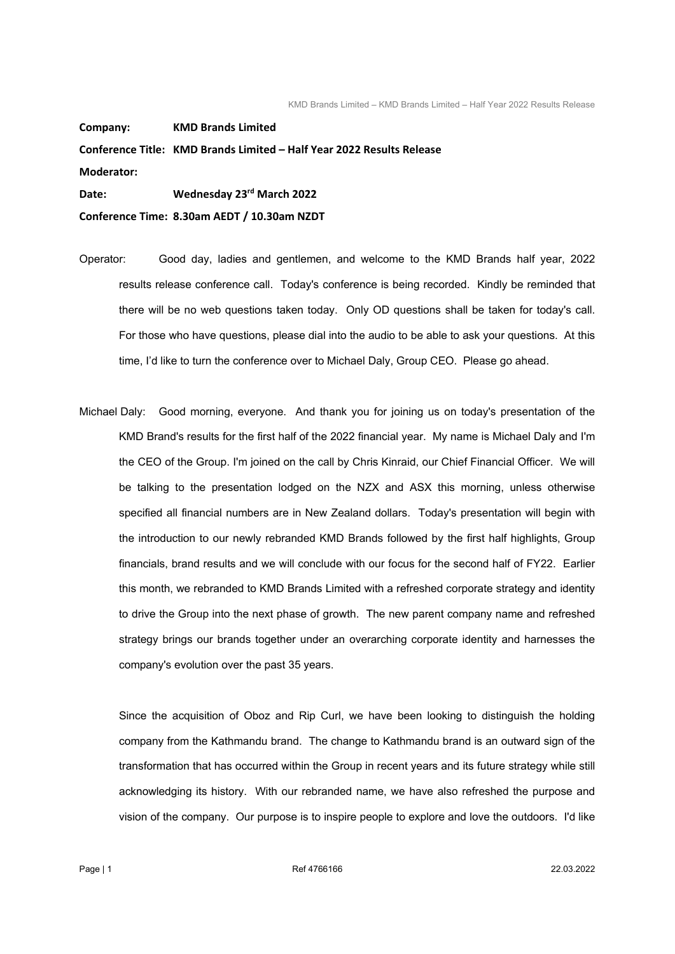**Company: KMD Brands Limited Conference Title: KMD Brands Limited – Half Year 2022 Results Release Moderator: Date: Wednesday 23rd March 2022 Conference Time: 8.30am AEDT / 10.30am NZDT**

Operator: Good day, ladies and gentlemen, and welcome to the KMD Brands half year, 2022 results release conference call. Today's conference is being recorded. Kindly be reminded that there will be no web questions taken today. Only OD questions shall be taken for today's call. For those who have questions, please dial into the audio to be able to ask your questions. At this time, I'd like to turn the conference over to Michael Daly, Group CEO. Please go ahead.

Michael Daly: Good morning, everyone. And thank you for joining us on today's presentation of the KMD Brand's results for the first half of the 2022 financial year. My name is Michael Daly and I'm the CEO of the Group. I'm joined on the call by Chris Kinraid, our Chief Financial Officer. We will be talking to the presentation lodged on the NZX and ASX this morning, unless otherwise specified all financial numbers are in New Zealand dollars. Today's presentation will begin with the introduction to our newly rebranded KMD Brands followed by the first half highlights, Group financials, brand results and we will conclude with our focus for the second half of FY22. Earlier this month, we rebranded to KMD Brands Limited with a refreshed corporate strategy and identity to drive the Group into the next phase of growth. The new parent company name and refreshed strategy brings our brands together under an overarching corporate identity and harnesses the company's evolution over the past 35 years.

 Since the acquisition of Oboz and Rip Curl, we have been looking to distinguish the holding company from the Kathmandu brand. The change to Kathmandu brand is an outward sign of the transformation that has occurred within the Group in recent years and its future strategy while still acknowledging its history. With our rebranded name, we have also refreshed the purpose and vision of the company. Our purpose is to inspire people to explore and love the outdoors. I'd like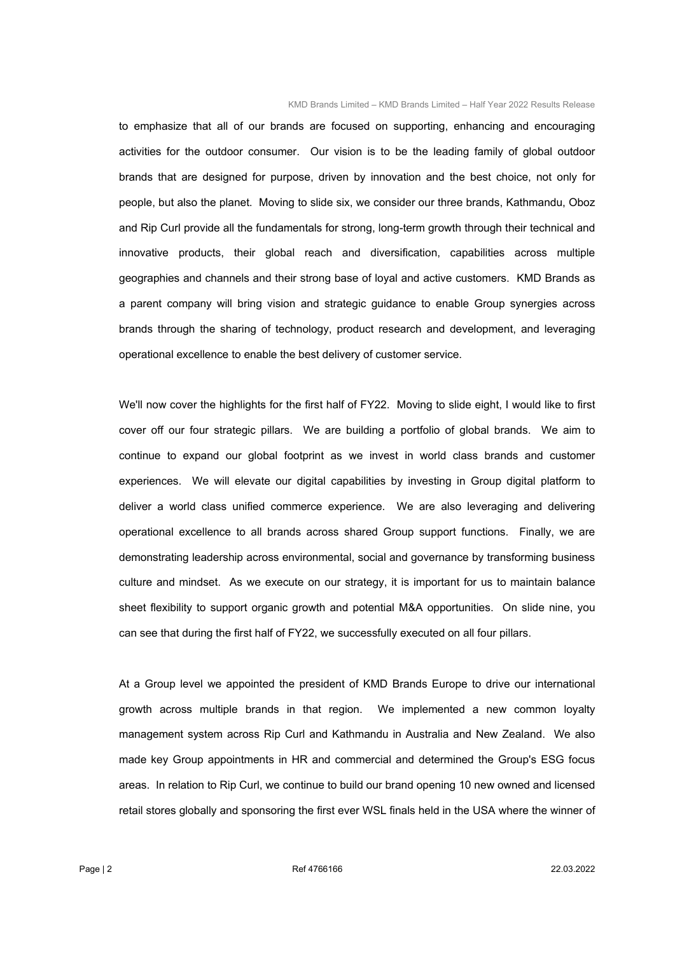to emphasize that all of our brands are focused on supporting, enhancing and encouraging activities for the outdoor consumer. Our vision is to be the leading family of global outdoor brands that are designed for purpose, driven by innovation and the best choice, not only for people, but also the planet. Moving to slide six, we consider our three brands, Kathmandu, Oboz and Rip Curl provide all the fundamentals for strong, long-term growth through their technical and innovative products, their global reach and diversification, capabilities across multiple geographies and channels and their strong base of loyal and active customers. KMD Brands as a parent company will bring vision and strategic guidance to enable Group synergies across brands through the sharing of technology, product research and development, and leveraging operational excellence to enable the best delivery of customer service.

We'll now cover the highlights for the first half of FY22. Moving to slide eight, I would like to first cover off our four strategic pillars. We are building a portfolio of global brands. We aim to continue to expand our global footprint as we invest in world class brands and customer experiences. We will elevate our digital capabilities by investing in Group digital platform to deliver a world class unified commerce experience. We are also leveraging and delivering operational excellence to all brands across shared Group support functions. Finally, we are demonstrating leadership across environmental, social and governance by transforming business culture and mindset. As we execute on our strategy, it is important for us to maintain balance sheet flexibility to support organic growth and potential M&A opportunities. On slide nine, you can see that during the first half of FY22, we successfully executed on all four pillars.

 At a Group level we appointed the president of KMD Brands Europe to drive our international growth across multiple brands in that region. We implemented a new common loyalty management system across Rip Curl and Kathmandu in Australia and New Zealand. We also made key Group appointments in HR and commercial and determined the Group's ESG focus areas. In relation to Rip Curl, we continue to build our brand opening 10 new owned and licensed retail stores globally and sponsoring the first ever WSL finals held in the USA where the winner of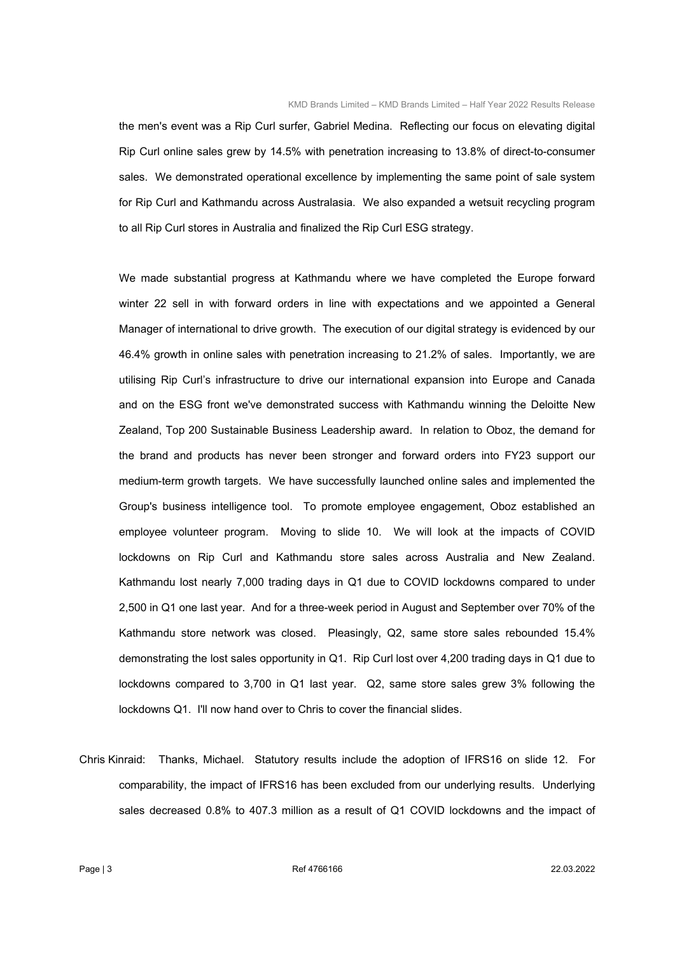the men's event was a Rip Curl surfer, Gabriel Medina. Reflecting our focus on elevating digital Rip Curl online sales grew by 14.5% with penetration increasing to 13.8% of direct-to-consumer sales. We demonstrated operational excellence by implementing the same point of sale system for Rip Curl and Kathmandu across Australasia. We also expanded a wetsuit recycling program to all Rip Curl stores in Australia and finalized the Rip Curl ESG strategy.

 We made substantial progress at Kathmandu where we have completed the Europe forward winter 22 sell in with forward orders in line with expectations and we appointed a General Manager of international to drive growth. The execution of our digital strategy is evidenced by our 46.4% growth in online sales with penetration increasing to 21.2% of sales. Importantly, we are utilising Rip Curl's infrastructure to drive our international expansion into Europe and Canada and on the ESG front we've demonstrated success with Kathmandu winning the Deloitte New Zealand, Top 200 Sustainable Business Leadership award. In relation to Oboz, the demand for the brand and products has never been stronger and forward orders into FY23 support our medium-term growth targets. We have successfully launched online sales and implemented the Group's business intelligence tool. To promote employee engagement, Oboz established an employee volunteer program. Moving to slide 10. We will look at the impacts of COVID lockdowns on Rip Curl and Kathmandu store sales across Australia and New Zealand. Kathmandu lost nearly 7,000 trading days in Q1 due to COVID lockdowns compared to under 2,500 in Q1 one last year. And for a three-week period in August and September over 70% of the Kathmandu store network was closed. Pleasingly, Q2, same store sales rebounded 15.4% demonstrating the lost sales opportunity in Q1. Rip Curl lost over 4,200 trading days in Q1 due to lockdowns compared to 3,700 in Q1 last year. Q2, same store sales grew 3% following the lockdowns Q1. I'll now hand over to Chris to cover the financial slides.

Chris Kinraid: Thanks, Michael. Statutory results include the adoption of IFRS16 on slide 12. For comparability, the impact of IFRS16 has been excluded from our underlying results. Underlying sales decreased 0.8% to 407.3 million as a result of Q1 COVID lockdowns and the impact of

Page | 3  $22.03.2022$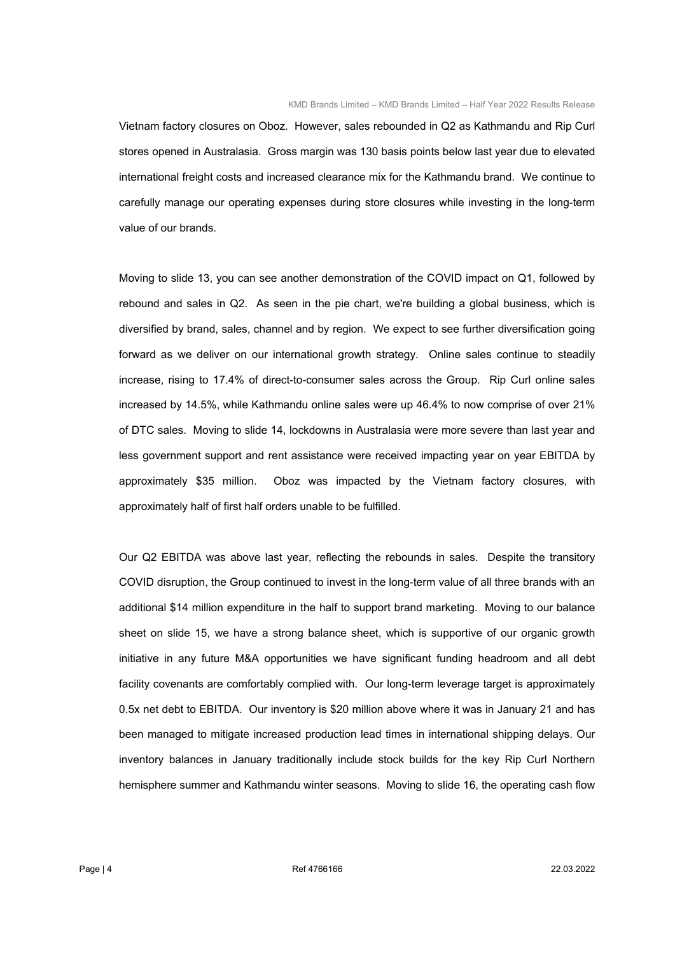Vietnam factory closures on Oboz. However, sales rebounded in Q2 as Kathmandu and Rip Curl stores opened in Australasia. Gross margin was 130 basis points below last year due to elevated international freight costs and increased clearance mix for the Kathmandu brand. We continue to carefully manage our operating expenses during store closures while investing in the long-term value of our brands.

 Moving to slide 13, you can see another demonstration of the COVID impact on Q1, followed by rebound and sales in Q2. As seen in the pie chart, we're building a global business, which is diversified by brand, sales, channel and by region. We expect to see further diversification going forward as we deliver on our international growth strategy. Online sales continue to steadily increase, rising to 17.4% of direct-to-consumer sales across the Group. Rip Curl online sales increased by 14.5%, while Kathmandu online sales were up 46.4% to now comprise of over 21% of DTC sales. Moving to slide 14, lockdowns in Australasia were more severe than last year and less government support and rent assistance were received impacting year on year EBITDA by approximately \$35 million. Oboz was impacted by the Vietnam factory closures, with approximately half of first half orders unable to be fulfilled.

 Our Q2 EBITDA was above last year, reflecting the rebounds in sales. Despite the transitory COVID disruption, the Group continued to invest in the long-term value of all three brands with an additional \$14 million expenditure in the half to support brand marketing. Moving to our balance sheet on slide 15, we have a strong balance sheet, which is supportive of our organic growth initiative in any future M&A opportunities we have significant funding headroom and all debt facility covenants are comfortably complied with. Our long-term leverage target is approximately 0.5x net debt to EBITDA. Our inventory is \$20 million above where it was in January 21 and has been managed to mitigate increased production lead times in international shipping delays. Our inventory balances in January traditionally include stock builds for the key Rip Curl Northern hemisphere summer and Kathmandu winter seasons. Moving to slide 16, the operating cash flow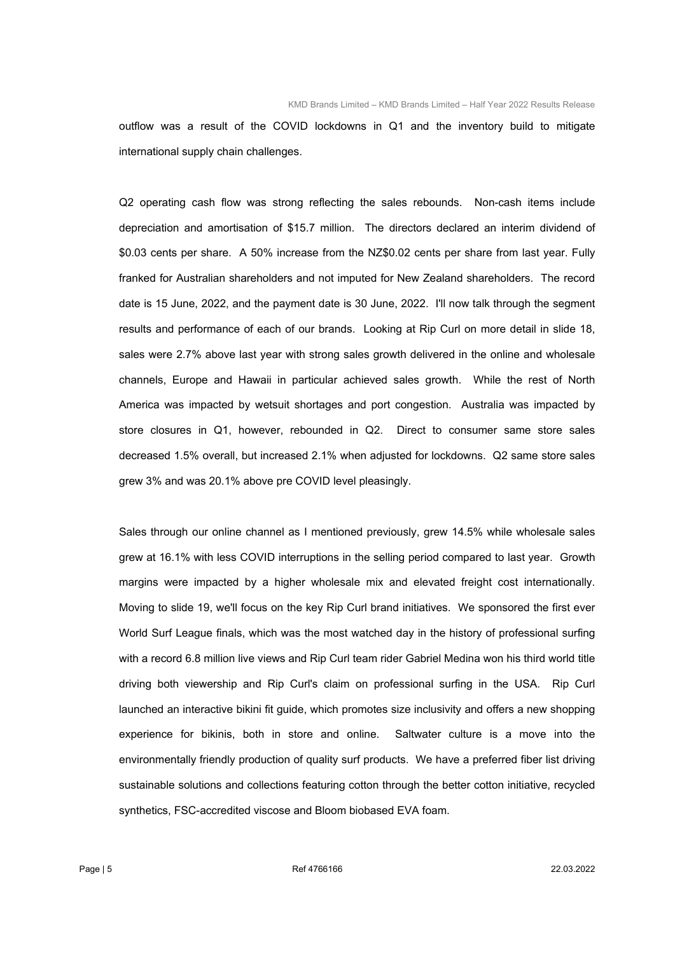outflow was a result of the COVID lockdowns in Q1 and the inventory build to mitigate international supply chain challenges.

 Q2 operating cash flow was strong reflecting the sales rebounds. Non-cash items include depreciation and amortisation of \$15.7 million. The directors declared an interim dividend of \$0.03 cents per share. A 50% increase from the NZ\$0.02 cents per share from last year. Fully franked for Australian shareholders and not imputed for New Zealand shareholders. The record date is 15 June, 2022, and the payment date is 30 June, 2022. I'll now talk through the segment results and performance of each of our brands. Looking at Rip Curl on more detail in slide 18, sales were 2.7% above last year with strong sales growth delivered in the online and wholesale channels, Europe and Hawaii in particular achieved sales growth. While the rest of North America was impacted by wetsuit shortages and port congestion. Australia was impacted by store closures in Q1, however, rebounded in Q2. Direct to consumer same store sales decreased 1.5% overall, but increased 2.1% when adjusted for lockdowns. Q2 same store sales grew 3% and was 20.1% above pre COVID level pleasingly.

 Sales through our online channel as I mentioned previously, grew 14.5% while wholesale sales grew at 16.1% with less COVID interruptions in the selling period compared to last year. Growth margins were impacted by a higher wholesale mix and elevated freight cost internationally. Moving to slide 19, we'll focus on the key Rip Curl brand initiatives. We sponsored the first ever World Surf League finals, which was the most watched day in the history of professional surfing with a record 6.8 million live views and Rip Curl team rider Gabriel Medina won his third world title driving both viewership and Rip Curl's claim on professional surfing in the USA. Rip Curl launched an interactive bikini fit guide, which promotes size inclusivity and offers a new shopping experience for bikinis, both in store and online. Saltwater culture is a move into the environmentally friendly production of quality surf products. We have a preferred fiber list driving sustainable solutions and collections featuring cotton through the better cotton initiative, recycled synthetics, FSC-accredited viscose and Bloom biobased EVA foam.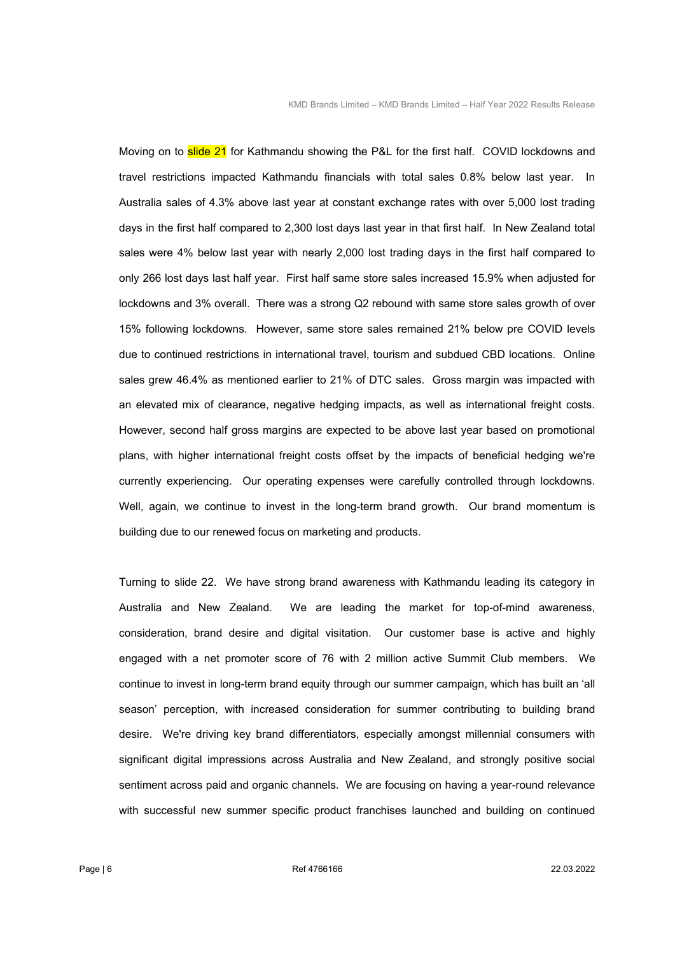Moving on to **slide 21** for Kathmandu showing the P&L for the first half. COVID lockdowns and travel restrictions impacted Kathmandu financials with total sales 0.8% below last year. In Australia sales of 4.3% above last year at constant exchange rates with over 5,000 lost trading days in the first half compared to 2,300 lost days last year in that first half. In New Zealand total sales were 4% below last year with nearly 2,000 lost trading days in the first half compared to only 266 lost days last half year. First half same store sales increased 15.9% when adjusted for lockdowns and 3% overall. There was a strong Q2 rebound with same store sales growth of over 15% following lockdowns. However, same store sales remained 21% below pre COVID levels due to continued restrictions in international travel, tourism and subdued CBD locations. Online sales grew 46.4% as mentioned earlier to 21% of DTC sales. Gross margin was impacted with an elevated mix of clearance, negative hedging impacts, as well as international freight costs. However, second half gross margins are expected to be above last year based on promotional plans, with higher international freight costs offset by the impacts of beneficial hedging we're currently experiencing. Our operating expenses were carefully controlled through lockdowns. Well, again, we continue to invest in the long-term brand growth. Our brand momentum is building due to our renewed focus on marketing and products.

 Turning to slide 22. We have strong brand awareness with Kathmandu leading its category in Australia and New Zealand. We are leading the market for top-of-mind awareness, consideration, brand desire and digital visitation. Our customer base is active and highly engaged with a net promoter score of 76 with 2 million active Summit Club members. We continue to invest in long-term brand equity through our summer campaign, which has built an 'all season' perception, with increased consideration for summer contributing to building brand desire. We're driving key brand differentiators, especially amongst millennial consumers with significant digital impressions across Australia and New Zealand, and strongly positive social sentiment across paid and organic channels. We are focusing on having a year-round relevance with successful new summer specific product franchises launched and building on continued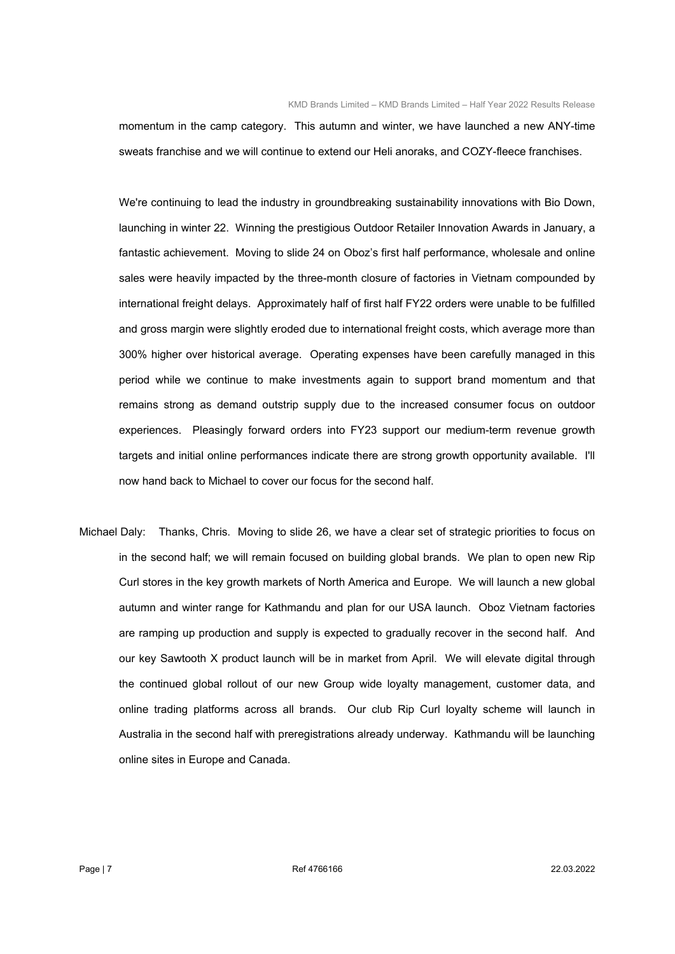momentum in the camp category. This autumn and winter, we have launched a new ANY-time sweats franchise and we will continue to extend our Heli anoraks, and COZY-fleece franchises.

 We're continuing to lead the industry in groundbreaking sustainability innovations with Bio Down, launching in winter 22. Winning the prestigious Outdoor Retailer Innovation Awards in January, a fantastic achievement. Moving to slide 24 on Oboz's first half performance, wholesale and online sales were heavily impacted by the three-month closure of factories in Vietnam compounded by international freight delays. Approximately half of first half FY22 orders were unable to be fulfilled and gross margin were slightly eroded due to international freight costs, which average more than 300% higher over historical average. Operating expenses have been carefully managed in this period while we continue to make investments again to support brand momentum and that remains strong as demand outstrip supply due to the increased consumer focus on outdoor experiences. Pleasingly forward orders into FY23 support our medium-term revenue growth targets and initial online performances indicate there are strong growth opportunity available. I'll now hand back to Michael to cover our focus for the second half.

Michael Daly: Thanks, Chris. Moving to slide 26, we have a clear set of strategic priorities to focus on in the second half; we will remain focused on building global brands. We plan to open new Rip Curl stores in the key growth markets of North America and Europe. We will launch a new global autumn and winter range for Kathmandu and plan for our USA launch. Oboz Vietnam factories are ramping up production and supply is expected to gradually recover in the second half. And our key Sawtooth X product launch will be in market from April. We will elevate digital through the continued global rollout of our new Group wide loyalty management, customer data, and online trading platforms across all brands. Our club Rip Curl loyalty scheme will launch in Australia in the second half with preregistrations already underway. Kathmandu will be launching online sites in Europe and Canada.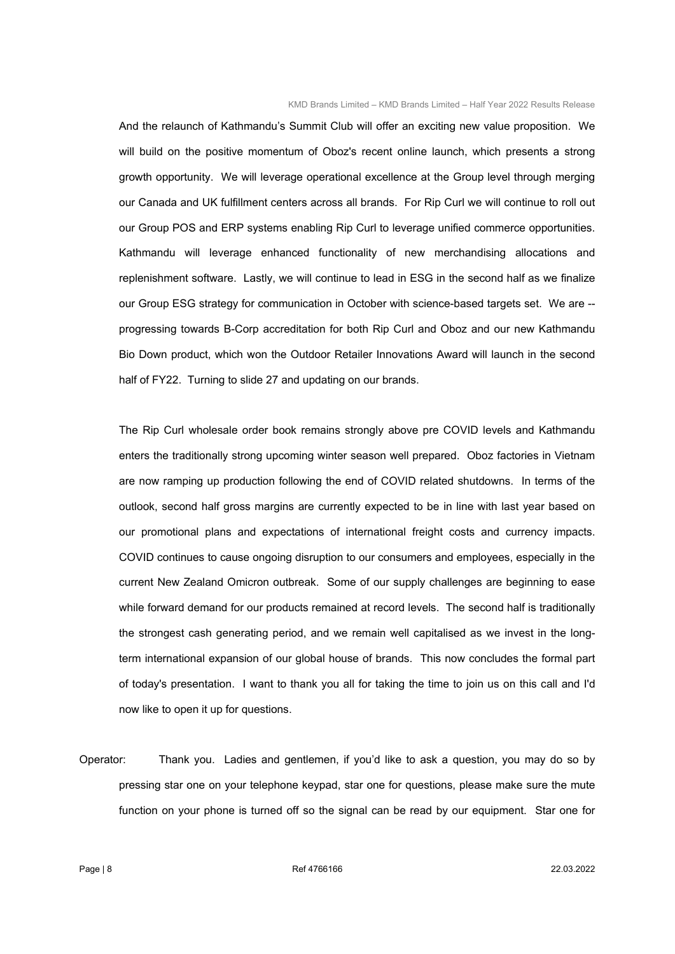And the relaunch of Kathmandu's Summit Club will offer an exciting new value proposition. We will build on the positive momentum of Oboz's recent online launch, which presents a strong growth opportunity. We will leverage operational excellence at the Group level through merging our Canada and UK fulfillment centers across all brands. For Rip Curl we will continue to roll out our Group POS and ERP systems enabling Rip Curl to leverage unified commerce opportunities. Kathmandu will leverage enhanced functionality of new merchandising allocations and replenishment software. Lastly, we will continue to lead in ESG in the second half as we finalize our Group ESG strategy for communication in October with science-based targets set. We are - progressing towards B-Corp accreditation for both Rip Curl and Oboz and our new Kathmandu Bio Down product, which won the Outdoor Retailer Innovations Award will launch in the second half of FY22. Turning to slide 27 and updating on our brands.

 The Rip Curl wholesale order book remains strongly above pre COVID levels and Kathmandu enters the traditionally strong upcoming winter season well prepared. Oboz factories in Vietnam are now ramping up production following the end of COVID related shutdowns. In terms of the outlook, second half gross margins are currently expected to be in line with last year based on our promotional plans and expectations of international freight costs and currency impacts. COVID continues to cause ongoing disruption to our consumers and employees, especially in the current New Zealand Omicron outbreak. Some of our supply challenges are beginning to ease while forward demand for our products remained at record levels. The second half is traditionally the strongest cash generating period, and we remain well capitalised as we invest in the longterm international expansion of our global house of brands. This now concludes the formal part of today's presentation. I want to thank you all for taking the time to join us on this call and I'd now like to open it up for questions.

Operator: Thank you. Ladies and gentlemen, if you'd like to ask a question, you may do so by pressing star one on your telephone keypad, star one for questions, please make sure the mute function on your phone is turned off so the signal can be read by our equipment. Star one for

Page | 8  $22.03.2022$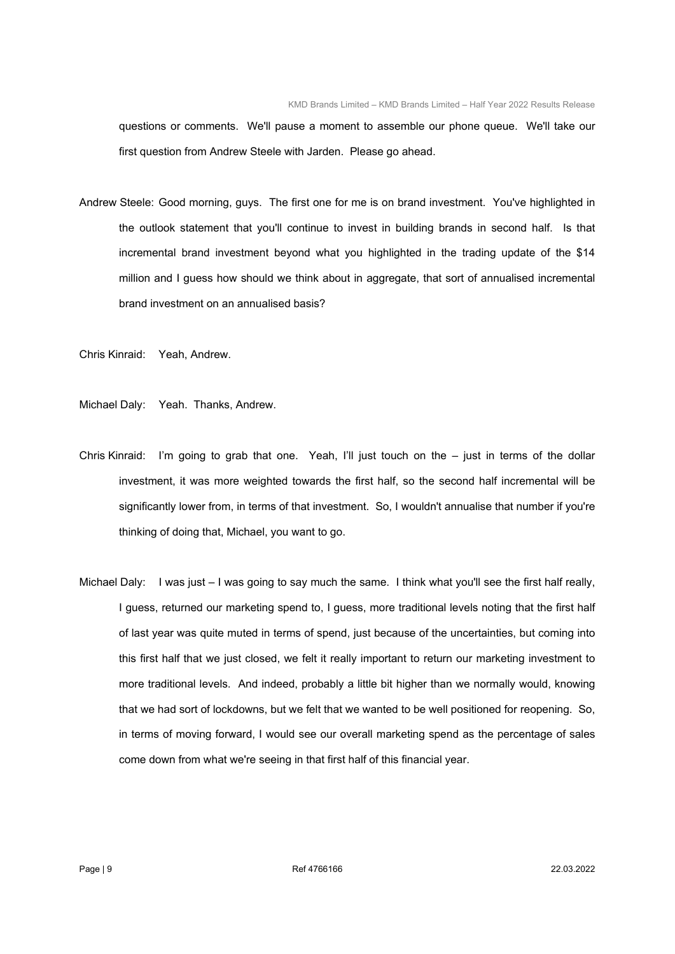questions or comments. We'll pause a moment to assemble our phone queue. We'll take our first question from Andrew Steele with Jarden. Please go ahead.

Andrew Steele: Good morning, guys. The first one for me is on brand investment. You've highlighted in the outlook statement that you'll continue to invest in building brands in second half. Is that incremental brand investment beyond what you highlighted in the trading update of the \$14 million and I guess how should we think about in aggregate, that sort of annualised incremental brand investment on an annualised basis?

Chris Kinraid: Yeah, Andrew.

Michael Daly: Yeah. Thanks, Andrew.

- Chris Kinraid: I'm going to grab that one. Yeah, I'll just touch on the just in terms of the dollar investment, it was more weighted towards the first half, so the second half incremental will be significantly lower from, in terms of that investment. So, I wouldn't annualise that number if you're thinking of doing that, Michael, you want to go.
- Michael Daly: I was just I was going to say much the same. I think what you'll see the first half really, I guess, returned our marketing spend to, I guess, more traditional levels noting that the first half of last year was quite muted in terms of spend, just because of the uncertainties, but coming into this first half that we just closed, we felt it really important to return our marketing investment to more traditional levels. And indeed, probably a little bit higher than we normally would, knowing that we had sort of lockdowns, but we felt that we wanted to be well positioned for reopening. So, in terms of moving forward, I would see our overall marketing spend as the percentage of sales come down from what we're seeing in that first half of this financial year.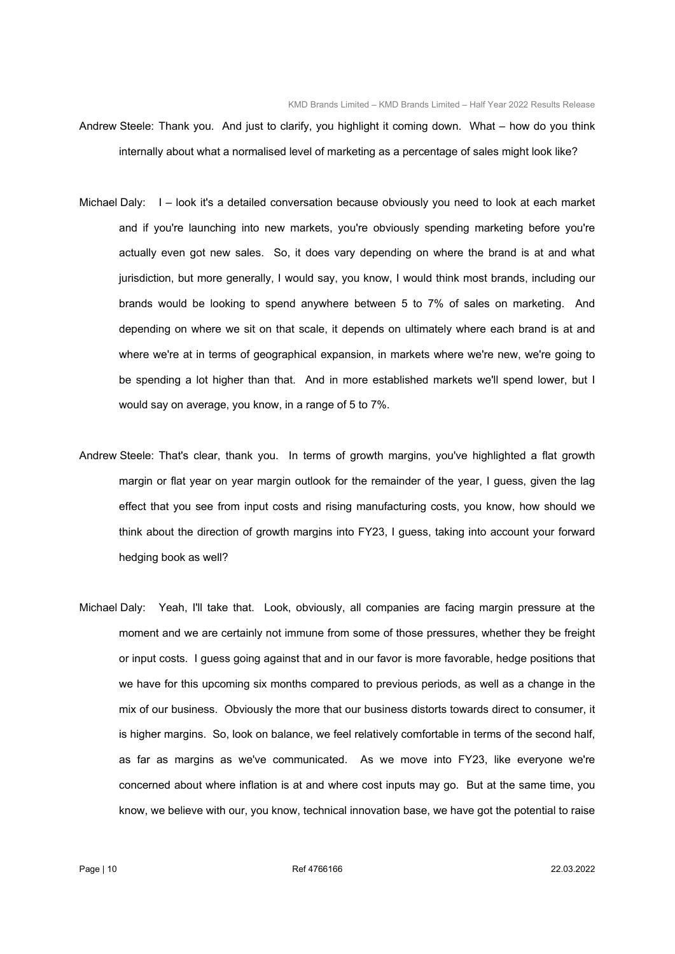- Andrew Steele: Thank you. And just to clarify, you highlight it coming down. What how do you think internally about what a normalised level of marketing as a percentage of sales might look like?
- Michael Daly: I look it's a detailed conversation because obviously you need to look at each market and if you're launching into new markets, you're obviously spending marketing before you're actually even got new sales. So, it does vary depending on where the brand is at and what jurisdiction, but more generally, I would say, you know, I would think most brands, including our brands would be looking to spend anywhere between 5 to 7% of sales on marketing. And depending on where we sit on that scale, it depends on ultimately where each brand is at and where we're at in terms of geographical expansion, in markets where we're new, we're going to be spending a lot higher than that. And in more established markets we'll spend lower, but I would say on average, you know, in a range of 5 to 7%.
- Andrew Steele: That's clear, thank you. In terms of growth margins, you've highlighted a flat growth margin or flat year on year margin outlook for the remainder of the year, I guess, given the lag effect that you see from input costs and rising manufacturing costs, you know, how should we think about the direction of growth margins into FY23, I guess, taking into account your forward hedging book as well?
- Michael Daly: Yeah, I'll take that. Look, obviously, all companies are facing margin pressure at the moment and we are certainly not immune from some of those pressures, whether they be freight or input costs. I guess going against that and in our favor is more favorable, hedge positions that we have for this upcoming six months compared to previous periods, as well as a change in the mix of our business. Obviously the more that our business distorts towards direct to consumer, it is higher margins. So, look on balance, we feel relatively comfortable in terms of the second half, as far as margins as we've communicated. As we move into FY23, like everyone we're concerned about where inflation is at and where cost inputs may go. But at the same time, you know, we believe with our, you know, technical innovation base, we have got the potential to raise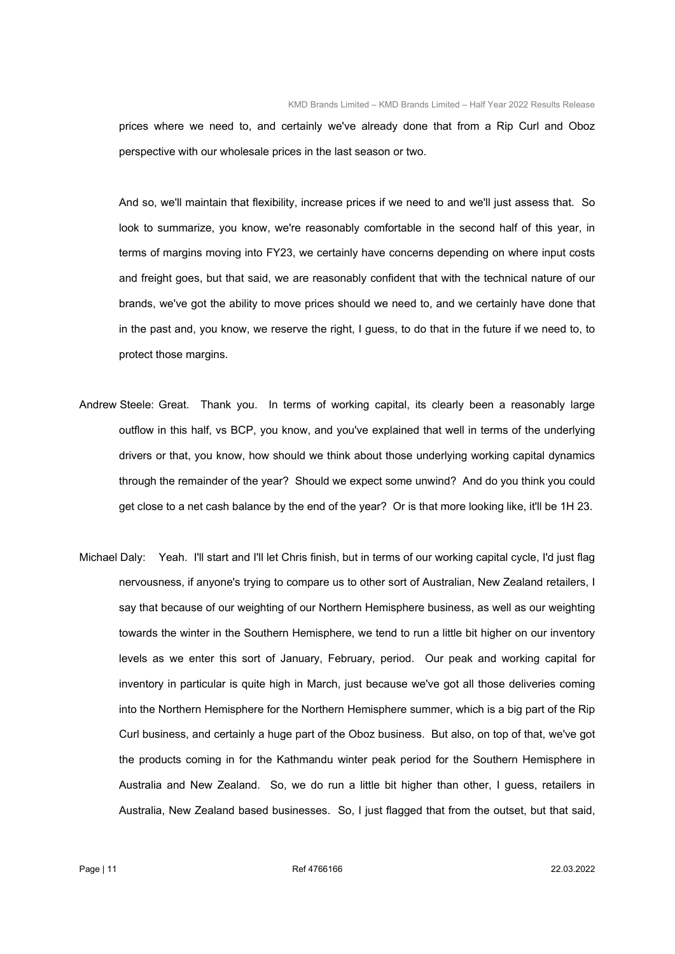prices where we need to, and certainly we've already done that from a Rip Curl and Oboz perspective with our wholesale prices in the last season or two.

 And so, we'll maintain that flexibility, increase prices if we need to and we'll just assess that. So look to summarize, you know, we're reasonably comfortable in the second half of this year, in terms of margins moving into FY23, we certainly have concerns depending on where input costs and freight goes, but that said, we are reasonably confident that with the technical nature of our brands, we've got the ability to move prices should we need to, and we certainly have done that in the past and, you know, we reserve the right, I guess, to do that in the future if we need to, to protect those margins.

- Andrew Steele: Great. Thank you. In terms of working capital, its clearly been a reasonably large outflow in this half, vs BCP, you know, and you've explained that well in terms of the underlying drivers or that, you know, how should we think about those underlying working capital dynamics through the remainder of the year? Should we expect some unwind? And do you think you could get close to a net cash balance by the end of the year? Or is that more looking like, it'll be 1H 23.
- Michael Daly: Yeah. I'll start and I'll let Chris finish, but in terms of our working capital cycle, I'd just flag nervousness, if anyone's trying to compare us to other sort of Australian, New Zealand retailers, I say that because of our weighting of our Northern Hemisphere business, as well as our weighting towards the winter in the Southern Hemisphere, we tend to run a little bit higher on our inventory levels as we enter this sort of January, February, period. Our peak and working capital for inventory in particular is quite high in March, just because we've got all those deliveries coming into the Northern Hemisphere for the Northern Hemisphere summer, which is a big part of the Rip Curl business, and certainly a huge part of the Oboz business. But also, on top of that, we've got the products coming in for the Kathmandu winter peak period for the Southern Hemisphere in Australia and New Zealand. So, we do run a little bit higher than other, I guess, retailers in Australia, New Zealand based businesses. So, I just flagged that from the outset, but that said,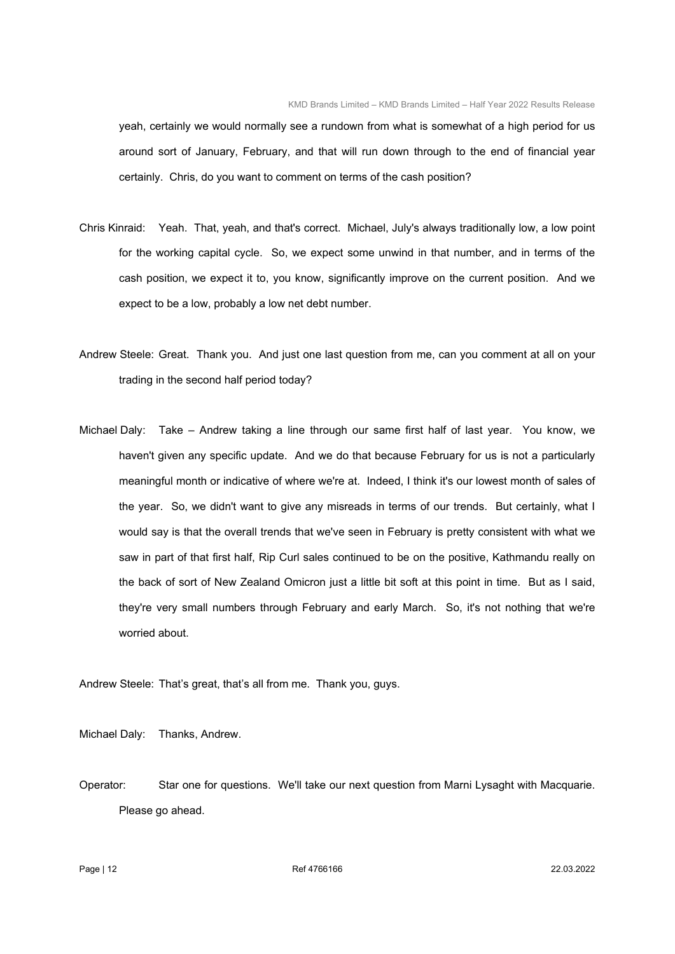yeah, certainly we would normally see a rundown from what is somewhat of a high period for us around sort of January, February, and that will run down through to the end of financial year certainly. Chris, do you want to comment on terms of the cash position?

- Chris Kinraid: Yeah. That, yeah, and that's correct. Michael, July's always traditionally low, a low point for the working capital cycle. So, we expect some unwind in that number, and in terms of the cash position, we expect it to, you know, significantly improve on the current position. And we expect to be a low, probably a low net debt number.
- Andrew Steele: Great. Thank you. And just one last question from me, can you comment at all on your trading in the second half period today?
- Michael Daly: Take Andrew taking a line through our same first half of last year. You know, we haven't given any specific update. And we do that because February for us is not a particularly meaningful month or indicative of where we're at. Indeed, I think it's our lowest month of sales of the year. So, we didn't want to give any misreads in terms of our trends. But certainly, what I would say is that the overall trends that we've seen in February is pretty consistent with what we saw in part of that first half, Rip Curl sales continued to be on the positive, Kathmandu really on the back of sort of New Zealand Omicron just a little bit soft at this point in time. But as I said, they're very small numbers through February and early March. So, it's not nothing that we're worried about.

Andrew Steele: That's great, that's all from me. Thank you, guys.

Michael Daly: Thanks, Andrew.

Operator: Star one for questions. We'll take our next question from Marni Lysaght with Macquarie. Please go ahead.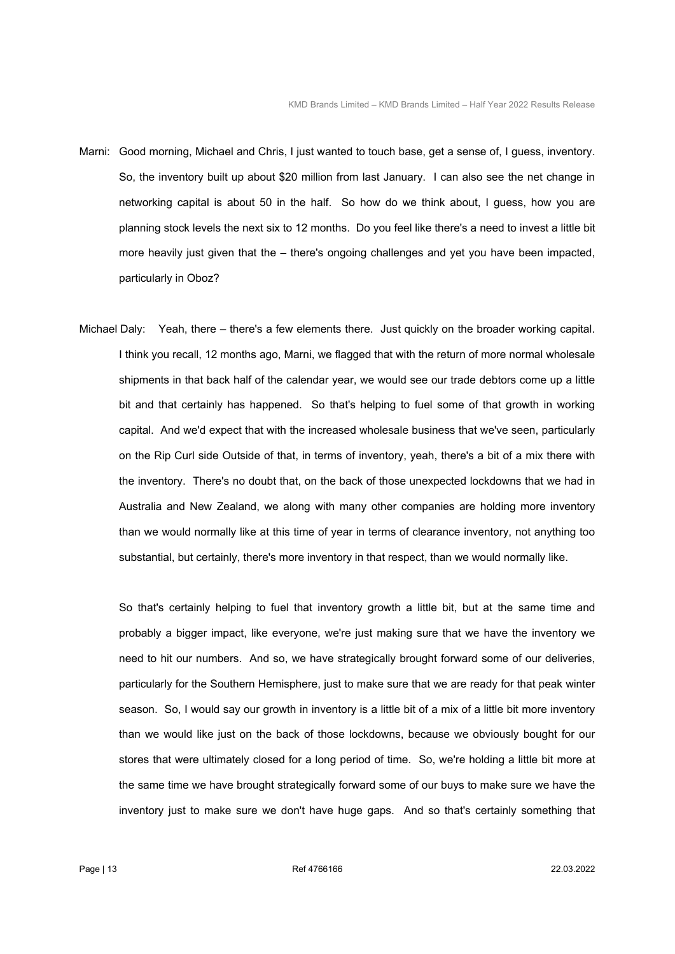- Marni: Good morning, Michael and Chris, I just wanted to touch base, get a sense of, I guess, inventory. So, the inventory built up about \$20 million from last January. I can also see the net change in networking capital is about 50 in the half. So how do we think about, I guess, how you are planning stock levels the next six to 12 months. Do you feel like there's a need to invest a little bit more heavily just given that the – there's ongoing challenges and yet you have been impacted, particularly in Oboz?
- Michael Daly: Yeah, there there's a few elements there. Just quickly on the broader working capital. I think you recall, 12 months ago, Marni, we flagged that with the return of more normal wholesale shipments in that back half of the calendar year, we would see our trade debtors come up a little bit and that certainly has happened. So that's helping to fuel some of that growth in working capital. And we'd expect that with the increased wholesale business that we've seen, particularly on the Rip Curl side Outside of that, in terms of inventory, yeah, there's a bit of a mix there with the inventory. There's no doubt that, on the back of those unexpected lockdowns that we had in Australia and New Zealand, we along with many other companies are holding more inventory than we would normally like at this time of year in terms of clearance inventory, not anything too substantial, but certainly, there's more inventory in that respect, than we would normally like.

 So that's certainly helping to fuel that inventory growth a little bit, but at the same time and probably a bigger impact, like everyone, we're just making sure that we have the inventory we need to hit our numbers. And so, we have strategically brought forward some of our deliveries, particularly for the Southern Hemisphere, just to make sure that we are ready for that peak winter season. So, I would say our growth in inventory is a little bit of a mix of a little bit more inventory than we would like just on the back of those lockdowns, because we obviously bought for our stores that were ultimately closed for a long period of time. So, we're holding a little bit more at the same time we have brought strategically forward some of our buys to make sure we have the inventory just to make sure we don't have huge gaps. And so that's certainly something that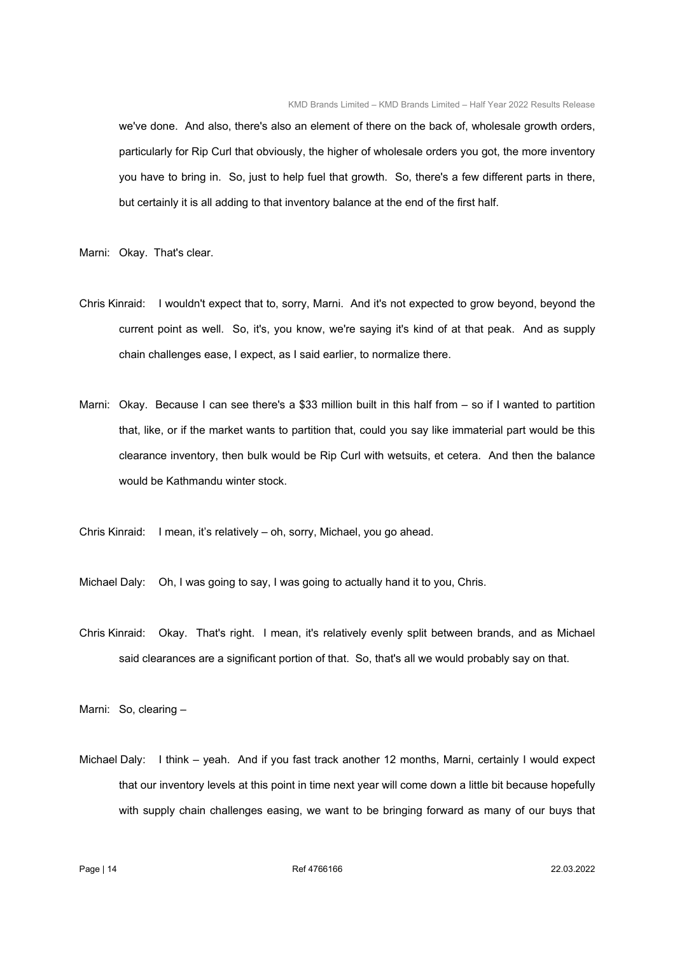we've done. And also, there's also an element of there on the back of, wholesale growth orders, particularly for Rip Curl that obviously, the higher of wholesale orders you got, the more inventory you have to bring in. So, just to help fuel that growth. So, there's a few different parts in there, but certainly it is all adding to that inventory balance at the end of the first half.

Marni: Okay. That's clear.

- Chris Kinraid: I wouldn't expect that to, sorry, Marni. And it's not expected to grow beyond, beyond the current point as well. So, it's, you know, we're saying it's kind of at that peak. And as supply chain challenges ease, I expect, as I said earlier, to normalize there.
- Marni: Okay. Because I can see there's a \$33 million built in this half from so if I wanted to partition that, like, or if the market wants to partition that, could you say like immaterial part would be this clearance inventory, then bulk would be Rip Curl with wetsuits, et cetera. And then the balance would be Kathmandu winter stock.
- Chris Kinraid: I mean, it's relatively oh, sorry, Michael, you go ahead.

Michael Daly: Oh, I was going to say, I was going to actually hand it to you, Chris.

Chris Kinraid: Okay. That's right. I mean, it's relatively evenly split between brands, and as Michael said clearances are a significant portion of that. So, that's all we would probably say on that.

Marni: So, clearing –

Michael Daly: I think – yeah. And if you fast track another 12 months, Marni, certainly I would expect that our inventory levels at this point in time next year will come down a little bit because hopefully with supply chain challenges easing, we want to be bringing forward as many of our buys that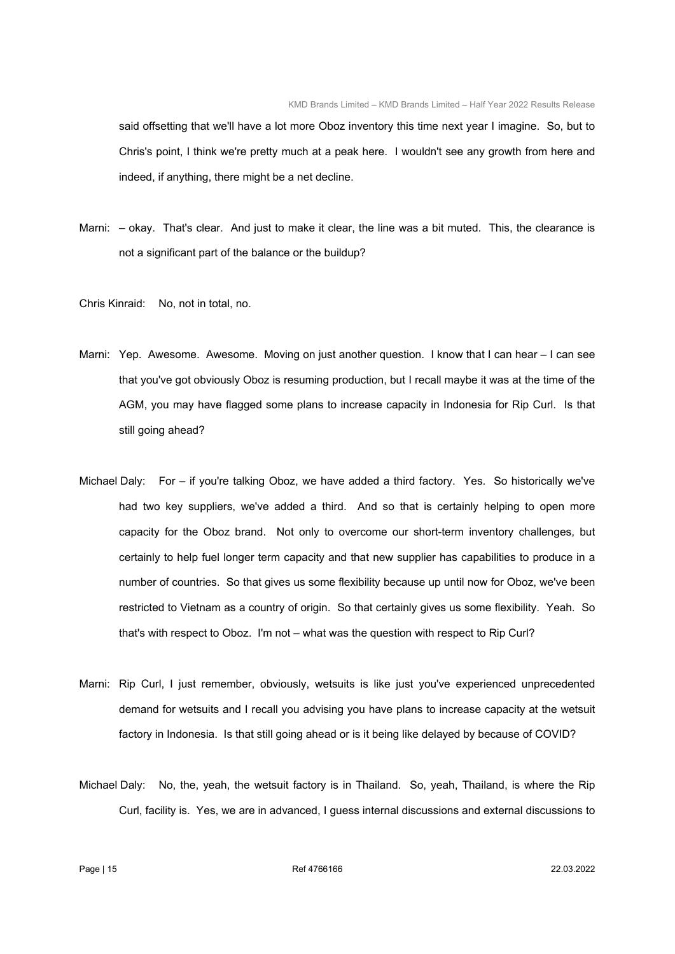said offsetting that we'll have a lot more Oboz inventory this time next year I imagine. So, but to Chris's point, I think we're pretty much at a peak here. I wouldn't see any growth from here and indeed, if anything, there might be a net decline.

- Marni: okay. That's clear. And just to make it clear, the line was a bit muted. This, the clearance is not a significant part of the balance or the buildup?
- Chris Kinraid: No, not in total, no.
- Marni: Yep. Awesome. Awesome. Moving on just another question. I know that I can hear I can see that you've got obviously Oboz is resuming production, but I recall maybe it was at the time of the AGM, you may have flagged some plans to increase capacity in Indonesia for Rip Curl. Is that still going ahead?
- Michael Daly: For if you're talking Oboz, we have added a third factory. Yes. So historically we've had two key suppliers, we've added a third. And so that is certainly helping to open more capacity for the Oboz brand. Not only to overcome our short-term inventory challenges, but certainly to help fuel longer term capacity and that new supplier has capabilities to produce in a number of countries. So that gives us some flexibility because up until now for Oboz, we've been restricted to Vietnam as a country of origin. So that certainly gives us some flexibility. Yeah. So that's with respect to Oboz. I'm not – what was the question with respect to Rip Curl?
- Marni: Rip Curl, I just remember, obviously, wetsuits is like just you've experienced unprecedented demand for wetsuits and I recall you advising you have plans to increase capacity at the wetsuit factory in Indonesia. Is that still going ahead or is it being like delayed by because of COVID?
- Michael Daly: No, the, yeah, the wetsuit factory is in Thailand. So, yeah, Thailand, is where the Rip Curl, facility is. Yes, we are in advanced, I guess internal discussions and external discussions to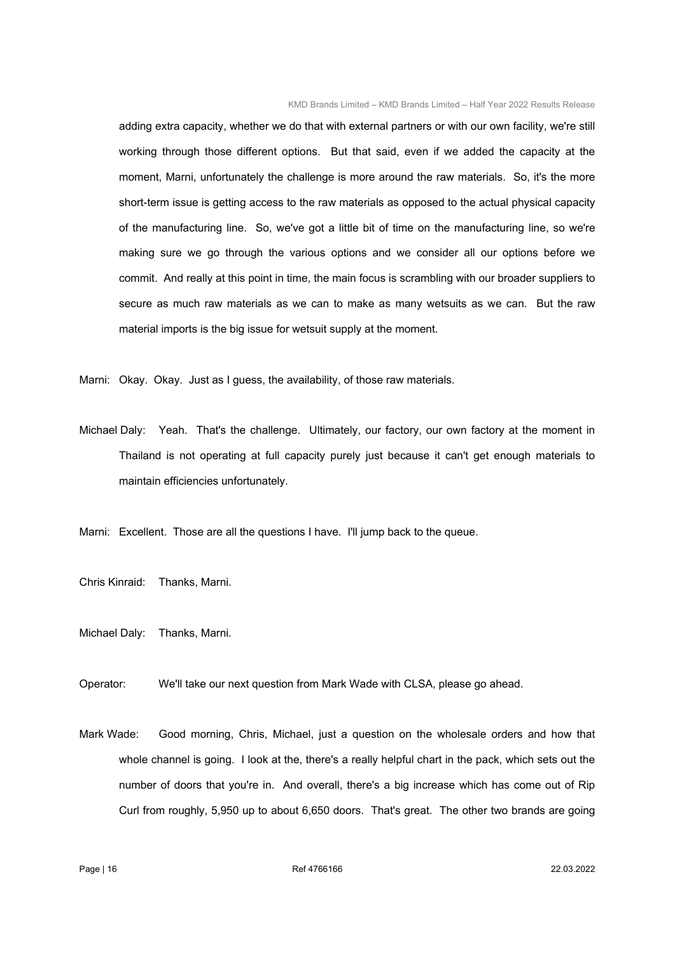adding extra capacity, whether we do that with external partners or with our own facility, we're still working through those different options. But that said, even if we added the capacity at the moment, Marni, unfortunately the challenge is more around the raw materials. So, it's the more short-term issue is getting access to the raw materials as opposed to the actual physical capacity of the manufacturing line. So, we've got a little bit of time on the manufacturing line, so we're making sure we go through the various options and we consider all our options before we commit. And really at this point in time, the main focus is scrambling with our broader suppliers to secure as much raw materials as we can to make as many wetsuits as we can. But the raw material imports is the big issue for wetsuit supply at the moment.

Marni: Okay. Okay. Just as I guess, the availability, of those raw materials.

Michael Daly: Yeah. That's the challenge. Ultimately, our factory, our own factory at the moment in Thailand is not operating at full capacity purely just because it can't get enough materials to maintain efficiencies unfortunately.

Marni: Excellent. Those are all the questions I have. I'll jump back to the queue.

Chris Kinraid: Thanks, Marni.

Michael Daly: Thanks, Marni.

Operator: We'll take our next question from Mark Wade with CLSA, please go ahead.

Mark Wade: Good morning, Chris, Michael, just a question on the wholesale orders and how that whole channel is going. I look at the, there's a really helpful chart in the pack, which sets out the number of doors that you're in. And overall, there's a big increase which has come out of Rip Curl from roughly, 5,950 up to about 6,650 doors. That's great. The other two brands are going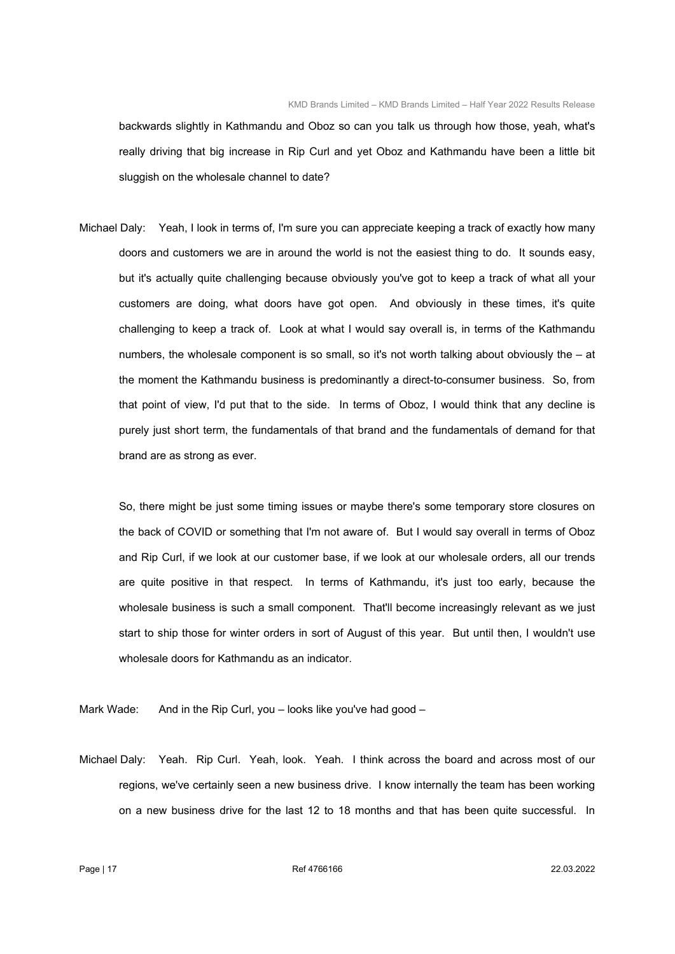backwards slightly in Kathmandu and Oboz so can you talk us through how those, yeah, what's really driving that big increase in Rip Curl and yet Oboz and Kathmandu have been a little bit sluggish on the wholesale channel to date?

Michael Daly: Yeah, I look in terms of, I'm sure you can appreciate keeping a track of exactly how many doors and customers we are in around the world is not the easiest thing to do. It sounds easy, but it's actually quite challenging because obviously you've got to keep a track of what all your customers are doing, what doors have got open. And obviously in these times, it's quite challenging to keep a track of. Look at what I would say overall is, in terms of the Kathmandu numbers, the wholesale component is so small, so it's not worth talking about obviously the – at the moment the Kathmandu business is predominantly a direct-to-consumer business. So, from that point of view, I'd put that to the side. In terms of Oboz, I would think that any decline is purely just short term, the fundamentals of that brand and the fundamentals of demand for that brand are as strong as ever.

 So, there might be just some timing issues or maybe there's some temporary store closures on the back of COVID or something that I'm not aware of. But I would say overall in terms of Oboz and Rip Curl, if we look at our customer base, if we look at our wholesale orders, all our trends are quite positive in that respect. In terms of Kathmandu, it's just too early, because the wholesale business is such a small component. That'll become increasingly relevant as we just start to ship those for winter orders in sort of August of this year. But until then, I wouldn't use wholesale doors for Kathmandu as an indicator.

Mark Wade: And in the Rip Curl, you – looks like you've had good –

Michael Daly: Yeah. Rip Curl. Yeah, look. Yeah. I think across the board and across most of our regions, we've certainly seen a new business drive. I know internally the team has been working on a new business drive for the last 12 to 18 months and that has been quite successful. In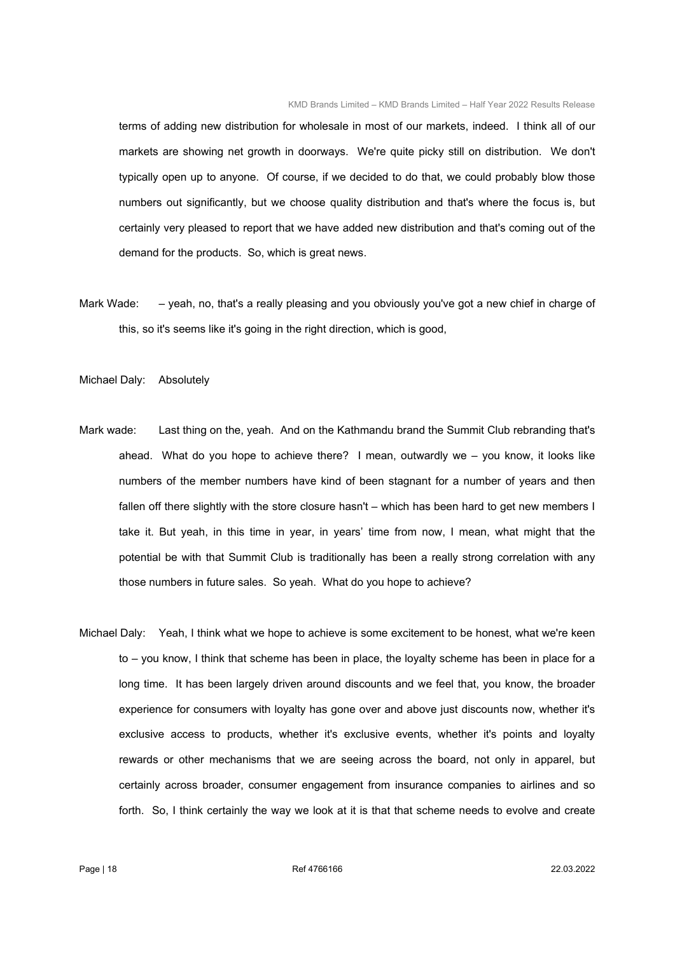terms of adding new distribution for wholesale in most of our markets, indeed. I think all of our markets are showing net growth in doorways. We're quite picky still on distribution. We don't typically open up to anyone. Of course, if we decided to do that, we could probably blow those numbers out significantly, but we choose quality distribution and that's where the focus is, but certainly very pleased to report that we have added new distribution and that's coming out of the demand for the products. So, which is great news.

Mark Wade: – yeah, no, that's a really pleasing and you obviously you've got a new chief in charge of this, so it's seems like it's going in the right direction, which is good,

Michael Daly: Absolutely

- Mark wade: Last thing on the, yeah. And on the Kathmandu brand the Summit Club rebranding that's ahead. What do you hope to achieve there? I mean, outwardly we – you know, it looks like numbers of the member numbers have kind of been stagnant for a number of years and then fallen off there slightly with the store closure hasn't – which has been hard to get new members I take it. But yeah, in this time in year, in years' time from now, I mean, what might that the potential be with that Summit Club is traditionally has been a really strong correlation with any those numbers in future sales. So yeah. What do you hope to achieve?
- Michael Daly: Yeah, I think what we hope to achieve is some excitement to be honest, what we're keen to – you know, I think that scheme has been in place, the loyalty scheme has been in place for a long time. It has been largely driven around discounts and we feel that, you know, the broader experience for consumers with loyalty has gone over and above just discounts now, whether it's exclusive access to products, whether it's exclusive events, whether it's points and loyalty rewards or other mechanisms that we are seeing across the board, not only in apparel, but certainly across broader, consumer engagement from insurance companies to airlines and so forth. So, I think certainly the way we look at it is that that scheme needs to evolve and create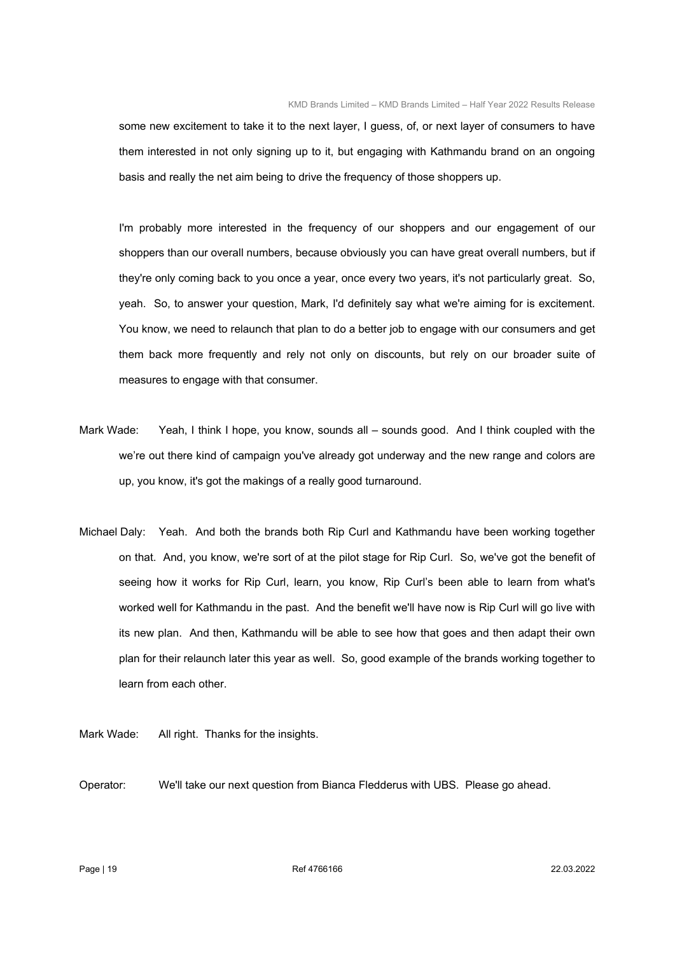some new excitement to take it to the next layer, I guess, of, or next layer of consumers to have them interested in not only signing up to it, but engaging with Kathmandu brand on an ongoing basis and really the net aim being to drive the frequency of those shoppers up.

 I'm probably more interested in the frequency of our shoppers and our engagement of our shoppers than our overall numbers, because obviously you can have great overall numbers, but if they're only coming back to you once a year, once every two years, it's not particularly great. So, yeah. So, to answer your question, Mark, I'd definitely say what we're aiming for is excitement. You know, we need to relaunch that plan to do a better job to engage with our consumers and get them back more frequently and rely not only on discounts, but rely on our broader suite of measures to engage with that consumer.

- Mark Wade: Yeah, I think I hope, you know, sounds all sounds good. And I think coupled with the we're out there kind of campaign you've already got underway and the new range and colors are up, you know, it's got the makings of a really good turnaround.
- Michael Daly: Yeah. And both the brands both Rip Curl and Kathmandu have been working together on that. And, you know, we're sort of at the pilot stage for Rip Curl. So, we've got the benefit of seeing how it works for Rip Curl, learn, you know, Rip Curl's been able to learn from what's worked well for Kathmandu in the past. And the benefit we'll have now is Rip Curl will go live with its new plan. And then, Kathmandu will be able to see how that goes and then adapt their own plan for their relaunch later this year as well. So, good example of the brands working together to learn from each other.

Mark Wade: All right. Thanks for the insights.

Operator: We'll take our next question from Bianca Fledderus with UBS. Please go ahead.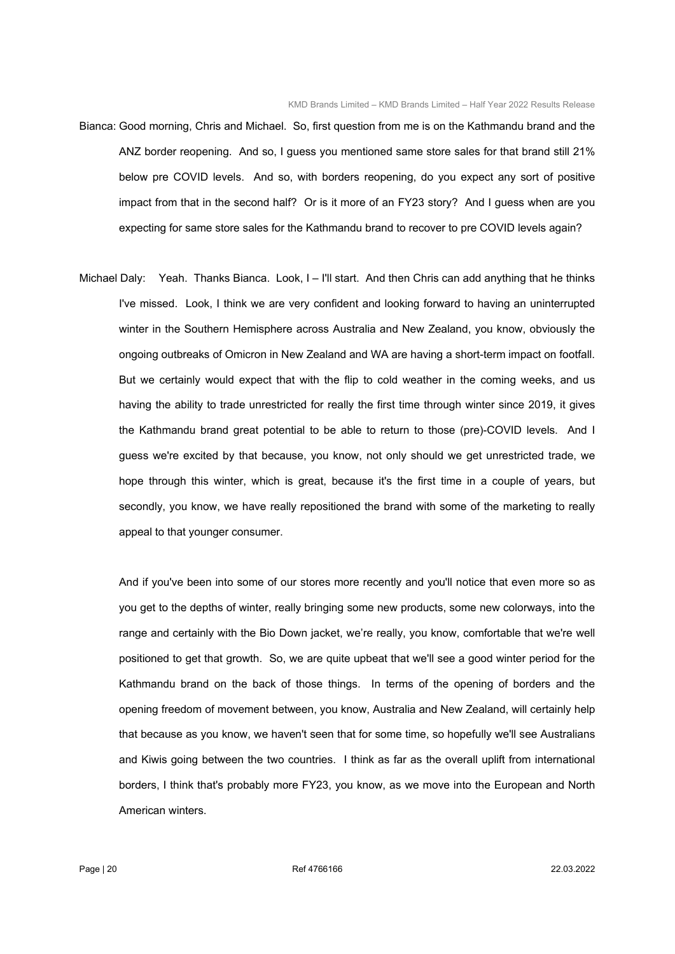- Bianca: Good morning, Chris and Michael. So, first question from me is on the Kathmandu brand and the ANZ border reopening. And so, I guess you mentioned same store sales for that brand still 21% below pre COVID levels. And so, with borders reopening, do you expect any sort of positive impact from that in the second half? Or is it more of an FY23 story? And I guess when are you expecting for same store sales for the Kathmandu brand to recover to pre COVID levels again?
- Michael Daly: Yeah. Thanks Bianca. Look, I I'll start. And then Chris can add anything that he thinks I've missed. Look, I think we are very confident and looking forward to having an uninterrupted winter in the Southern Hemisphere across Australia and New Zealand, you know, obviously the ongoing outbreaks of Omicron in New Zealand and WA are having a short-term impact on footfall. But we certainly would expect that with the flip to cold weather in the coming weeks, and us having the ability to trade unrestricted for really the first time through winter since 2019, it gives the Kathmandu brand great potential to be able to return to those (pre)-COVID levels. And I guess we're excited by that because, you know, not only should we get unrestricted trade, we hope through this winter, which is great, because it's the first time in a couple of years, but secondly, you know, we have really repositioned the brand with some of the marketing to really appeal to that younger consumer.

 And if you've been into some of our stores more recently and you'll notice that even more so as you get to the depths of winter, really bringing some new products, some new colorways, into the range and certainly with the Bio Down jacket, we're really, you know, comfortable that we're well positioned to get that growth. So, we are quite upbeat that we'll see a good winter period for the Kathmandu brand on the back of those things. In terms of the opening of borders and the opening freedom of movement between, you know, Australia and New Zealand, will certainly help that because as you know, we haven't seen that for some time, so hopefully we'll see Australians and Kiwis going between the two countries. I think as far as the overall uplift from international borders, I think that's probably more FY23, you know, as we move into the European and North American winters.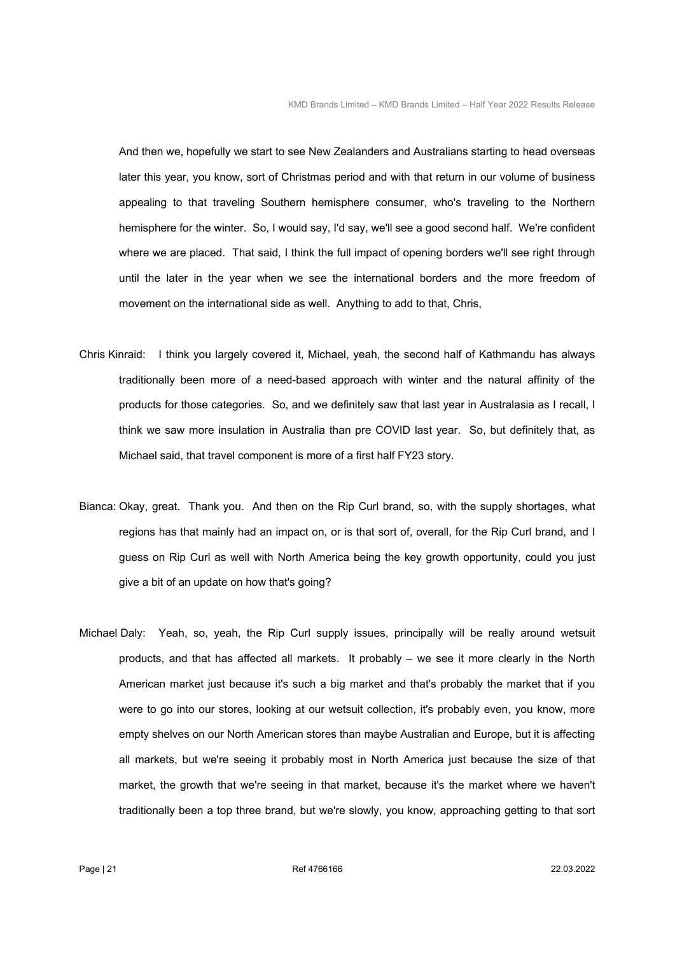And then we, hopefully we start to see New Zealanders and Australians starting to head overseas later this year, you know, sort of Christmas period and with that return in our volume of business appealing to that traveling Southern hemisphere consumer, who's traveling to the Northern hemisphere for the winter. So, I would say, I'd say, we'll see a good second half. We're confident where we are placed. That said, I think the full impact of opening borders we'll see right through until the later in the year when we see the international borders and the more freedom of movement on the international side as well. Anything to add to that, Chris,

- Chris Kinraid: I think you largely covered it, Michael, yeah, the second half of Kathmandu has always traditionally been more of a need-based approach with winter and the natural affinity of the products for those categories. So, and we definitely saw that last year in Australasia as I recall, I think we saw more insulation in Australia than pre COVID last year. So, but definitely that, as Michael said, that travel component is more of a first half FY23 story.
- Bianca: Okay, great. Thank you. And then on the Rip Curl brand, so, with the supply shortages, what regions has that mainly had an impact on, or is that sort of, overall, for the Rip Curl brand, and I guess on Rip Curl as well with North America being the key growth opportunity, could you just give a bit of an update on how that's going?
- Michael Daly: Yeah, so, yeah, the Rip Curl supply issues, principally will be really around wetsuit products, and that has affected all markets. It probably – we see it more clearly in the North American market just because it's such a big market and that's probably the market that if you were to go into our stores, looking at our wetsuit collection, it's probably even, you know, more empty shelves on our North American stores than maybe Australian and Europe, but it is affecting all markets, but we're seeing it probably most in North America just because the size of that market, the growth that we're seeing in that market, because it's the market where we haven't traditionally been a top three brand, but we're slowly, you know, approaching getting to that sort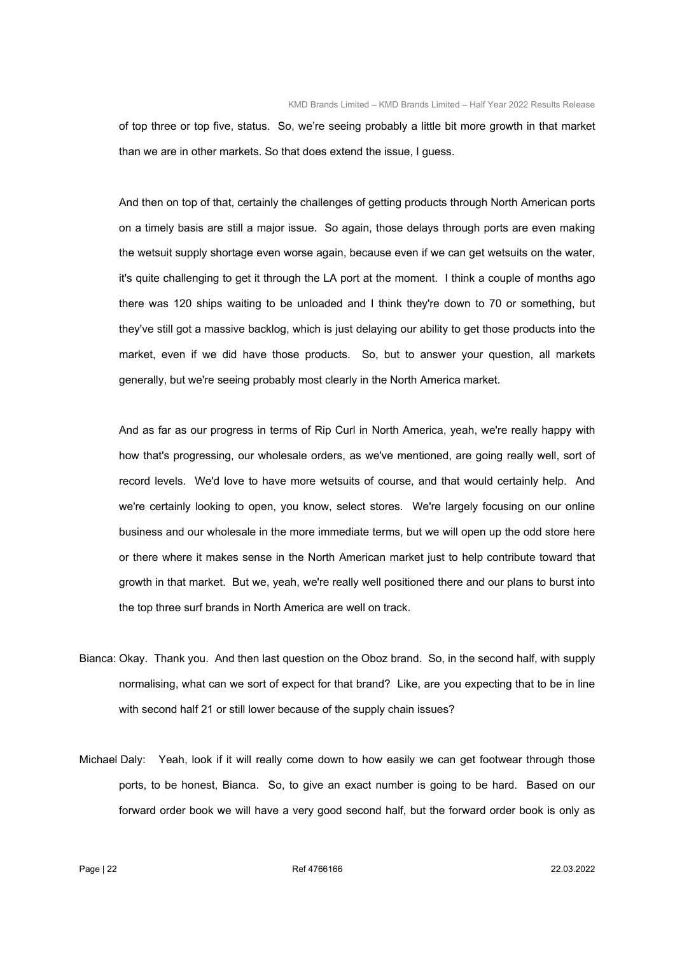of top three or top five, status. So, we're seeing probably a little bit more growth in that market than we are in other markets. So that does extend the issue, I guess.

 And then on top of that, certainly the challenges of getting products through North American ports on a timely basis are still a major issue. So again, those delays through ports are even making the wetsuit supply shortage even worse again, because even if we can get wetsuits on the water, it's quite challenging to get it through the LA port at the moment. I think a couple of months ago there was 120 ships waiting to be unloaded and I think they're down to 70 or something, but they've still got a massive backlog, which is just delaying our ability to get those products into the market, even if we did have those products. So, but to answer your question, all markets generally, but we're seeing probably most clearly in the North America market.

 And as far as our progress in terms of Rip Curl in North America, yeah, we're really happy with how that's progressing, our wholesale orders, as we've mentioned, are going really well, sort of record levels. We'd love to have more wetsuits of course, and that would certainly help. And we're certainly looking to open, you know, select stores. We're largely focusing on our online business and our wholesale in the more immediate terms, but we will open up the odd store here or there where it makes sense in the North American market just to help contribute toward that growth in that market. But we, yeah, we're really well positioned there and our plans to burst into the top three surf brands in North America are well on track.

- Bianca: Okay. Thank you. And then last question on the Oboz brand. So, in the second half, with supply normalising, what can we sort of expect for that brand? Like, are you expecting that to be in line with second half 21 or still lower because of the supply chain issues?
- Michael Daly: Yeah, look if it will really come down to how easily we can get footwear through those ports, to be honest, Bianca. So, to give an exact number is going to be hard. Based on our forward order book we will have a very good second half, but the forward order book is only as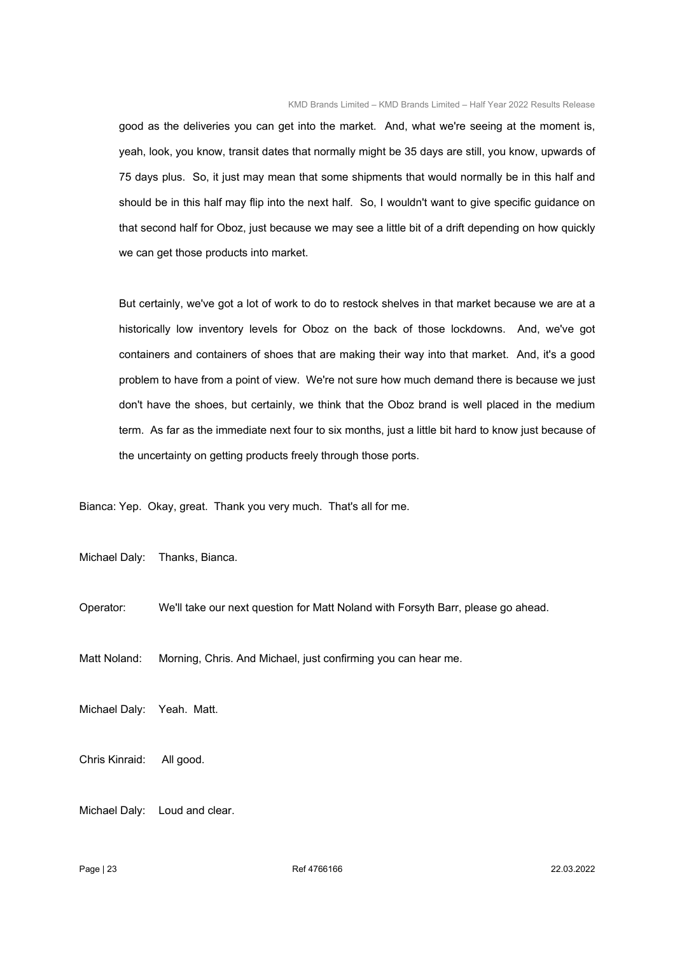good as the deliveries you can get into the market. And, what we're seeing at the moment is, yeah, look, you know, transit dates that normally might be 35 days are still, you know, upwards of 75 days plus. So, it just may mean that some shipments that would normally be in this half and should be in this half may flip into the next half. So, I wouldn't want to give specific guidance on that second half for Oboz, just because we may see a little bit of a drift depending on how quickly we can get those products into market.

 But certainly, we've got a lot of work to do to restock shelves in that market because we are at a historically low inventory levels for Oboz on the back of those lockdowns. And, we've got containers and containers of shoes that are making their way into that market. And, it's a good problem to have from a point of view. We're not sure how much demand there is because we just don't have the shoes, but certainly, we think that the Oboz brand is well placed in the medium term. As far as the immediate next four to six months, just a little bit hard to know just because of the uncertainty on getting products freely through those ports.

Bianca: Yep. Okay, great. Thank you very much. That's all for me.

Michael Daly: Thanks, Bianca.

Operator: We'll take our next question for Matt Noland with Forsyth Barr, please go ahead.

Matt Noland: Morning, Chris. And Michael, just confirming you can hear me.

Michael Daly: Yeah. Matt.

Chris Kinraid: All good.

Michael Daly: Loud and clear.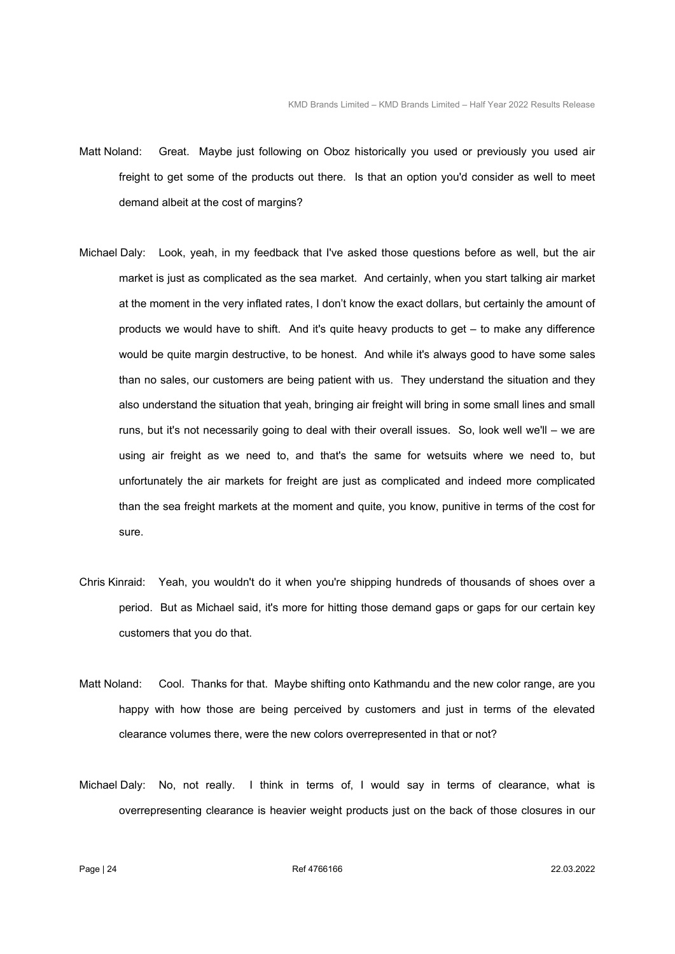- Matt Noland: Great. Maybe just following on Oboz historically you used or previously you used air freight to get some of the products out there. Is that an option you'd consider as well to meet demand albeit at the cost of margins?
- Michael Daly: Look, yeah, in my feedback that I've asked those questions before as well, but the air market is just as complicated as the sea market. And certainly, when you start talking air market at the moment in the very inflated rates, I don't know the exact dollars, but certainly the amount of products we would have to shift. And it's quite heavy products to get – to make any difference would be quite margin destructive, to be honest. And while it's always good to have some sales than no sales, our customers are being patient with us. They understand the situation and they also understand the situation that yeah, bringing air freight will bring in some small lines and small runs, but it's not necessarily going to deal with their overall issues. So, look well we'll – we are using air freight as we need to, and that's the same for wetsuits where we need to, but unfortunately the air markets for freight are just as complicated and indeed more complicated than the sea freight markets at the moment and quite, you know, punitive in terms of the cost for sure.
- Chris Kinraid: Yeah, you wouldn't do it when you're shipping hundreds of thousands of shoes over a period. But as Michael said, it's more for hitting those demand gaps or gaps for our certain key customers that you do that.
- Matt Noland: Cool. Thanks for that. Maybe shifting onto Kathmandu and the new color range, are you happy with how those are being perceived by customers and just in terms of the elevated clearance volumes there, were the new colors overrepresented in that or not?
- Michael Daly: No, not really. I think in terms of, I would say in terms of clearance, what is overrepresenting clearance is heavier weight products just on the back of those closures in our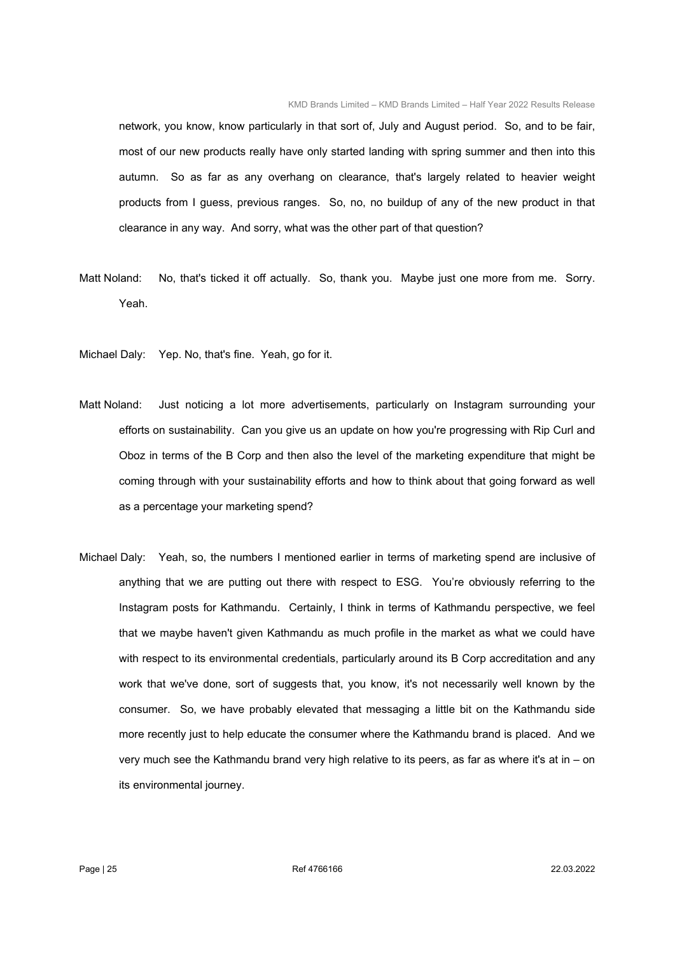network, you know, know particularly in that sort of, July and August period. So, and to be fair, most of our new products really have only started landing with spring summer and then into this autumn. So as far as any overhang on clearance, that's largely related to heavier weight products from I guess, previous ranges. So, no, no buildup of any of the new product in that clearance in any way. And sorry, what was the other part of that question?

- Matt Noland: No, that's ticked it off actually. So, thank you. Maybe just one more from me. Sorry. Yeah.
- Michael Daly: Yep. No, that's fine. Yeah, go for it.
- Matt Noland: Just noticing a lot more advertisements, particularly on Instagram surrounding your efforts on sustainability. Can you give us an update on how you're progressing with Rip Curl and Oboz in terms of the B Corp and then also the level of the marketing expenditure that might be coming through with your sustainability efforts and how to think about that going forward as well as a percentage your marketing spend?
- Michael Daly: Yeah, so, the numbers I mentioned earlier in terms of marketing spend are inclusive of anything that we are putting out there with respect to ESG. You're obviously referring to the Instagram posts for Kathmandu. Certainly, I think in terms of Kathmandu perspective, we feel that we maybe haven't given Kathmandu as much profile in the market as what we could have with respect to its environmental credentials, particularly around its B Corp accreditation and any work that we've done, sort of suggests that, you know, it's not necessarily well known by the consumer. So, we have probably elevated that messaging a little bit on the Kathmandu side more recently just to help educate the consumer where the Kathmandu brand is placed. And we very much see the Kathmandu brand very high relative to its peers, as far as where it's at in – on its environmental journey.